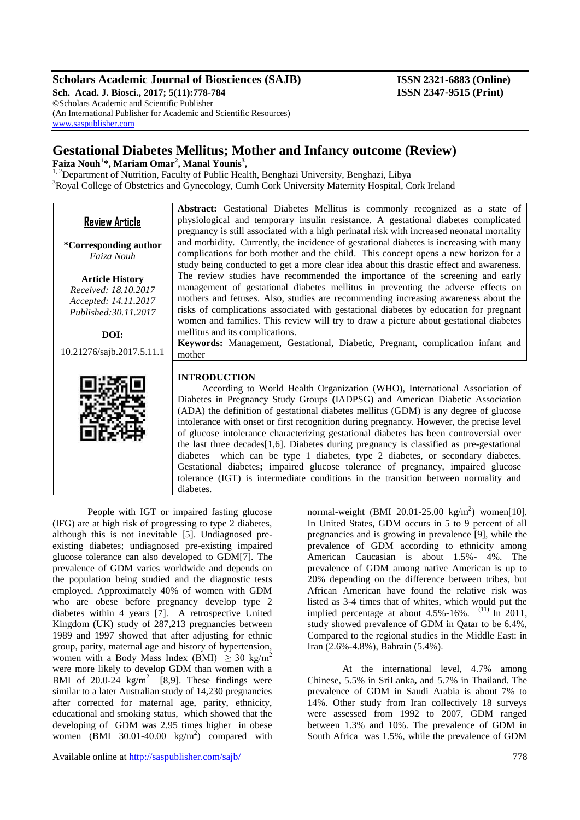## **Scholars Academic Journal of Biosciences (SAJB) ISSN 2321-6883 (Online)**

**Sch. Acad. J. Biosci., 2017; 5(11):778-784 ISSN 2347-9515 (Print)** ©Scholars Academic and Scientific Publisher (An International Publisher for Academic and Scientific Resources) [www.saspublisher.com](http://www.saspublisher.com/)

## **Gestational Diabetes Mellitus; Mother and Infancy outcome (Review)**

**Faiza Nouh<sup>1</sup> \*, Mariam Omar<sup>2</sup> , Manal Younis<sup>3</sup> ,**

<sup>1, 2</sup>Department of Nutrition, Faculty of Public Health, Benghazi University, Benghazi, Libya <sup>3</sup>Royal College of Obstetrics and Gynecology, Cumh Cork University Maternity Hospital, Cork Ireland

| <b>Review Article</b> |  |
|-----------------------|--|
|                       |  |

**\*Corresponding author** *Faiza Nouh*

**Article History** *Received: 18.10.2017 Accepted: 14.11.2017 Published:30.11.2017*

**DOI:**

10.21276/sajb.2017.5.11.1



#### physiological and temporary insulin resistance. A gestational diabetes complicated pregnancy is still associated with a high perinatal risk with increased neonatal mortality and morbidity. Currently, the incidence of gestational diabetes is increasing with many complications for both mother and the child. This concept opens a new horizon for a study being conducted to get a more clear idea about this drastic effect and awareness. The review studies have recommended the importance of the screening and early management of gestational diabetes mellitus in preventing the adverse effects on mothers and fetuses. Also, studies are recommending increasing awareness about the risks of complications associated with gestational diabetes by education for pregnant women and families. This review will try to draw a picture about gestational diabetes mellitus and its complications.

**Abstract:** Gestational Diabetes Mellitus is commonly recognized as a state of

**Keywords:** Management, Gestational, Diabetic, Pregnant, complication infant and mother

## **INTRODUCTION**

 According to World Health Organization (WHO), International Association of Diabetes in Pregnancy Study Groups **(**IADPSG) and American Diabetic Association (ADA) the definition of gestational diabetes mellitus (GDM) is any degree of glucose intolerance with onset or first recognition during pregnancy. However, the precise level of glucose intolerance characterizing gestational diabetes has been controversial over the last three decades[1,6]. Diabetes during pregnancy is classified as pre-gestational diabetes which can be type 1 diabetes, type 2 diabetes, or secondary diabetes. Gestational diabetes**;** impaired glucose tolerance of pregnancy, impaired glucose tolerance (IGT) is intermediate conditions in the transition between normality and diabetes.

People with IGT or impaired fasting glucose (IFG) are at high risk of progressing to type 2 diabetes, although this is not inevitable [5]. Undiagnosed preexisting diabetes; undiagnosed pre-existing impaired glucose tolerance can also developed to GDM[7]. The prevalence of GDM varies worldwide and depends on the population being studied and the diagnostic tests employed. Approximately 40% of women with GDM who are obese before pregnancy develop type 2 diabetes within 4 years [7]. A retrospective United Kingdom (UK) study of 287,213 pregnancies between 1989 and 1997 showed that after adjusting for ethnic group, parity, maternal age and history of hypertension, women with a Body Mass Index (BMI)  $\geq 30$  kg/m<sup>2</sup> were more likely to develop GDM than women with a BMI of 20.0-24  $\text{kg/m}^2$  [8,9]. These findings were similar to a later Australian study of 14,230 pregnancies after corrected for maternal age, parity, ethnicity, educational and smoking status, which showed that the developing of GDM was 2.95 times higher in obese women (BMI 30.01-40.00  $\text{kg/m}^2$ ) compared with normal-weight (BMI 20.01-25.00 kg/m<sup>2</sup>) women[10]. In United States, GDM occurs in 5 to 9 percent of all pregnancies and is growing in prevalence [9], while the prevalence of GDM according to ethnicity among American Caucasian is about 1.5%- 4%. The prevalence of GDM among native American is up to 20% depending on the difference between tribes, but African American have found the relative risk was listed as 3-4 times that of whites, which would put the implied percentage at about  $4.5\%$ -16%. <sup>(11)</sup> In 2011, study showed prevalence of GDM in Qatar to be 6.4%, Compared to the regional studies in the Middle East: in Iran (2.6%-4.8%), Bahrain (5.4%).

At the international level, 4.7% among Chinese, 5.5% in SriLanka**,** and 5.7% in Thailand. The prevalence of GDM in Saudi Arabia is about 7% to 14%. Other study from Iran collectively 18 surveys were assessed from 1992 to 2007, GDM ranged between 1.3% and 10%. The prevalence of GDM in South Africa was 1.5%, while the prevalence of GDM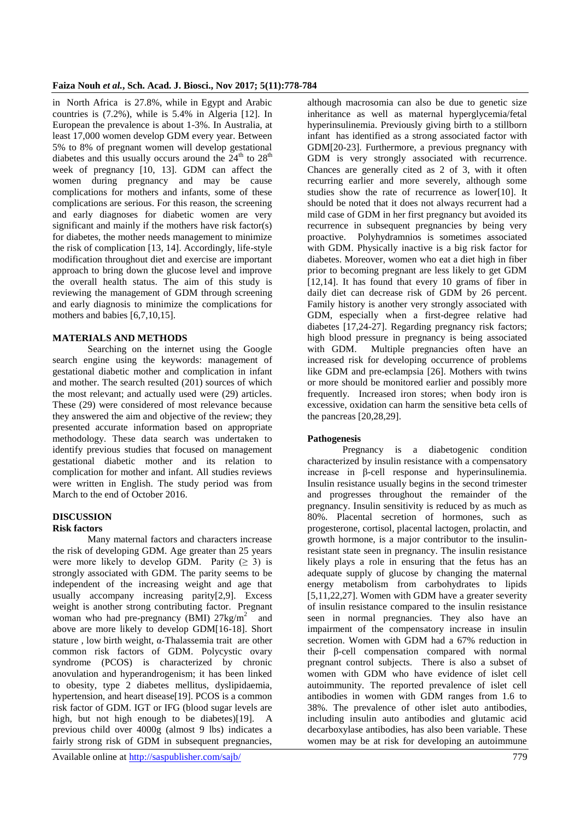#### **Faiza Nouh** *et al.***, Sch. Acad. J. Biosci., Nov 2017; 5(11):778-784**

in North Africa is 27.8%, while in Egypt and Arabic countries is (7.2%), while is 5.4% in Algeria [12]. In European the prevalence is about 1-3%. In Australia, at least 17,000 women develop GDM every year. Between 5% to 8% of pregnant women will develop gestational diabetes and this usually occurs around the  $24<sup>th</sup>$  to  $28<sup>th</sup>$ week of pregnancy [10, 13]. GDM can affect the women during pregnancy and may be cause complications for mothers and infants, some of these complications are serious. For this reason, the screening and early diagnoses for diabetic women are very significant and mainly if the mothers have risk factor(s) for diabetes, the mother needs management to minimize the risk of complication [13, 14]. Accordingly, life-style modification throughout diet and exercise are important approach to bring down the glucose level and improve the overall health status. The aim of this study is reviewing the management of GDM through screening and early diagnosis to minimize the complications for mothers and babies [6,7,10,15].

## **MATERIALS AND METHODS**

Searching on the internet using the Google search engine using the keywords: management of gestational diabetic mother and complication in infant and mother. The search resulted (201) sources of which the most relevant; and actually used were (29) articles. These (29) were considered of most relevance because they answered the aim and objective of the review; they presented accurate information based on appropriate methodology. These data search was undertaken to identify previous studies that focused on management gestational diabetic mother and its relation to complication for mother and infant. All studies reviews were written in English. The study period was from March to the end of October 2016.

# **DISCUSSION**

## **Risk factors**

Many maternal factors and characters increase the risk of developing GDM. Age greater than 25 years were more likely to develop GDM. Parity  $(≥ 3)$  is strongly associated with GDM. The parity seems to be independent of the increasing weight and age that usually accompany increasing parity[2,9]. Excess weight is another strong contributing factor. Pregnant woman who had pre-pregnancy (BMI)  $27\text{kg/m}^2$  and above are more likely to develop GDM[16-18]. Short stature , low birth weight, α-Thalassemia trait are other common risk factors of GDM. Polycystic ovary syndrome (PCOS) is characterized by chronic anovulation and hyperandrogenism; it has been linked to obesity, type 2 diabetes mellitus, dyslipidaemia, hypertension, and heart disease[19]. PCOS is a common risk factor of GDM. IGT or IFG (blood sugar levels are high, but not high enough to be diabetes)[19]. A previous child over 4000g (almost 9 lbs) indicates a fairly strong risk of GDM in subsequent pregnancies,

although macrosomia can also be due to genetic size inheritance as well as maternal hyperglycemia/fetal hyperinsulinemia. Previously giving birth to a stillborn infant has identified as a strong associated factor with GDM[20-23]. Furthermore, a previous pregnancy with GDM is very strongly associated with recurrence. Chances are generally cited as 2 of 3, with it often recurring earlier and more severely, although some studies show the rate of recurrence as lower[10]. It should be noted that it does not always recurrent had a mild case of GDM in her first pregnancy but avoided its recurrence in subsequent pregnancies by being very proactive. Polyhydramnios is sometimes associated with GDM. Physically inactive is a big risk factor for diabetes. Moreover, women who eat a diet high in fiber prior to becoming pregnant are less likely to get GDM [12,14]. It has found that every 10 grams of fiber in daily diet can decrease risk of GDM by 26 percent. Family history is another very strongly associated with GDM, especially when a first-degree relative had diabetes [17,24-27]. Regarding pregnancy risk factors; high blood pressure in pregnancy is being associated with GDM. Multiple pregnancies often have an increased risk for developing occurrence of problems like GDM and pre-eclampsia [26]. Mothers with twins or more should be monitored earlier and possibly more frequently. Increased iron stores; when body iron is excessive, oxidation can harm the sensitive beta cells of the pancreas [20,28,29].

#### **Pathogenesis**

Pregnancy is a diabetogenic condition characterized by insulin resistance with a compensatory increase in β-cell response and hyperinsulinemia. Insulin resistance usually begins in the second trimester and progresses throughout the remainder of the pregnancy. Insulin sensitivity is reduced by as much as 80%. Placental secretion of hormones, such as progesterone, cortisol, placental lactogen, prolactin, and growth hormone, is a major contributor to the insulinresistant state seen in pregnancy. The insulin resistance likely plays a role in ensuring that the fetus has an adequate supply of glucose by changing the maternal energy metabolism from carbohydrates to lipids [5,11,22,27]. Women with GDM have a greater severity of insulin resistance compared to the insulin resistance seen in normal pregnancies. They also have an impairment of the compensatory increase in insulin secretion. Women with GDM had a 67% reduction in their β-cell compensation compared with normal pregnant control subjects. There is also a subset of women with GDM who have evidence of islet cell autoimmunity. The reported prevalence of islet cell antibodies in women with GDM ranges from 1.6 to 38%. The prevalence of other islet auto antibodies, including insulin auto antibodies and glutamic acid decarboxylase antibodies, has also been variable. These women may be at risk for developing an autoimmune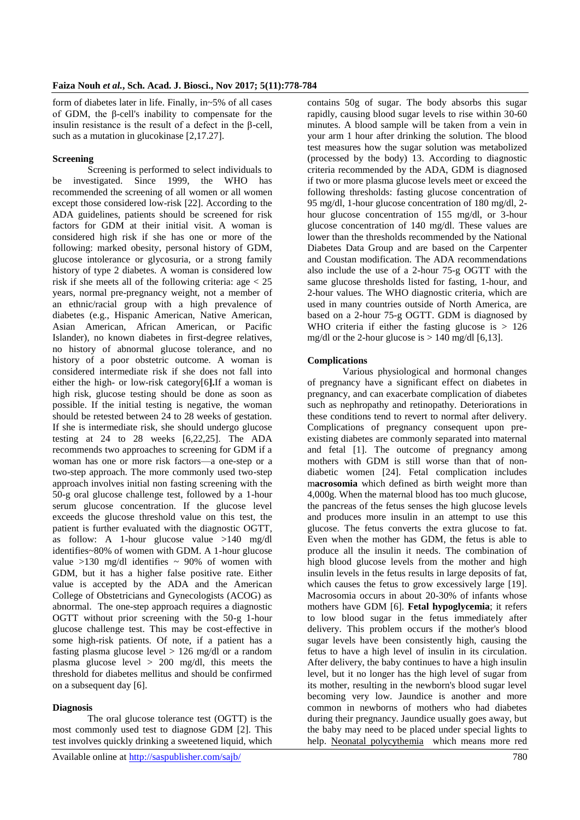form of diabetes later in life. Finally, in~5% of all cases of GDM, the β-cell's inability to compensate for the insulin resistance is the result of a defect in the β-cell, such as a mutation in glucokinase [2,17.27].

#### **Screening**

Screening is performed to select individuals to be investigated. Since 1999, the WHO has recommended the screening of all women or all women except those considered low-risk [22]. According to the ADA guidelines, patients should be screened for risk factors for GDM at their initial visit. A woman is considered high risk if she has one or more of the following: marked obesity, personal history of GDM, glucose intolerance or glycosuria, or a strong family history of type 2 diabetes. A woman is considered low risk if she meets all of the following criteria: age  $<$  25 years, normal pre-pregnancy weight, not a member of an ethnic/racial group with a high prevalence of diabetes (e.g., Hispanic American, Native American, Asian American, African American, or Pacific Islander), no known diabetes in first-degree relatives, no history of abnormal glucose tolerance, and no history of a poor obstetric outcome. A woman is considered intermediate risk if she does not fall into either the high- or low-risk category[6**].**If a woman is high risk, glucose testing should be done as soon as possible. If the initial testing is negative, the woman should be retested between 24 to 28 weeks of gestation. If she is intermediate risk, she should undergo glucose testing at 24 to 28 weeks [6,22,25]. The ADA recommends two approaches to screening for GDM if a woman has one or more risk factors—a one-step or a two-step approach. The more commonly used two-step approach involves initial non fasting screening with the 50-g oral glucose challenge test, followed by a 1-hour serum glucose concentration. If the glucose level exceeds the glucose threshold value on this test, the patient is further evaluated with the diagnostic OGTT, as follow: A 1-hour glucose value >140 mg/dl identifies~80% of women with GDM. A 1-hour glucose value  $>130$  mg/dl identifies  $\sim$  90% of women with GDM, but it has a higher false positive rate. Either value is accepted by the ADA and the American College of Obstetricians and Gynecologists (ACOG) as abnormal. The one-step approach requires a diagnostic OGTT without prior screening with the 50-g 1-hour glucose challenge test. This may be cost-effective in some high-risk patients. Of note, if a patient has a fasting plasma glucose level > 126 mg/dl or a random plasma glucose level > 200 mg/dl, this meets the threshold for diabetes mellitus and should be confirmed on a subsequent day [6].

#### **Diagnosis**

The oral glucose tolerance test (OGTT) is the most commonly used test to diagnose GDM [2]. This test involves quickly drinking a sweetened liquid, which contains 50g of sugar. The body absorbs this sugar rapidly, causing blood sugar levels to rise within 30-60 minutes. A blood sample will be taken from a vein in your arm 1 hour after drinking the solution. The blood test measures how the sugar solution was metabolized (processed by the body) 13. According to diagnostic criteria recommended by the ADA, GDM is diagnosed if two or more plasma glucose levels meet or exceed the following thresholds: fasting glucose concentration of 95 mg/dl, 1-hour glucose concentration of 180 mg/dl, 2 hour glucose concentration of 155 mg/dl, or 3-hour glucose concentration of 140 mg/dl. These values are lower than the thresholds recommended by the National Diabetes Data Group and are based on the Carpenter and Coustan modification. The ADA recommendations also include the use of a 2-hour 75-g OGTT with the same glucose thresholds listed for fasting, 1-hour, and 2-hour values. The WHO diagnostic criteria, which are used in many countries outside of North America, are based on a 2-hour 75-g OGTT. GDM is diagnosed by WHO criteria if either the fasting glucose is  $> 126$ mg/dl or the 2-hour glucose is  $> 140$  mg/dl [6,13].

#### **Complications**

Various physiological and hormonal changes of pregnancy have a significant effect on diabetes in pregnancy, and can exacerbate complication of diabetes such as nephropathy and retinopathy. Deteriorations in these conditions tend to revert to normal after delivery. Complications of pregnancy consequent upon preexisting diabetes are commonly separated into maternal and fetal [1]. The outcome of pregnancy among mothers with GDM is still worse than that of nondiabetic women [24]. Fetal complication includes m**acrosomia** which defined as birth weight more than 4,000g. When the maternal blood has too much glucose, the pancreas of the fetus senses the high glucose levels and produces more insulin in an attempt to use this glucose. The fetus converts the extra glucose to fat. Even when the mother has GDM, the fetus is able to produce all the insulin it needs. The combination of high blood glucose levels from the mother and high insulin levels in the fetus results in large deposits of fat, which causes the fetus to grow excessively large [19]. Macrosomia occurs in about 20-30% of infants whose mothers have GDM [6]. **Fetal hypoglycemia**; it refers to low blood sugar in the fetus immediately after delivery. This problem occurs if the mother's blood sugar levels have been consistently high, causing the fetus to have a high level of insulin in its circulation. After delivery, the baby continues to have a high insulin level, but it no longer has the high level of sugar from its mother, resulting in the newborn's blood sugar level becoming very low. Jaundice is another and more common in newborns of mothers who had diabetes during their pregnancy. Jaundice usually goes away, but the baby may need to be placed under special lights to help. [Neonatal polycythemia](http://www.nlm.nih.gov/medlineplus/ency/article/000536.htm) which means more red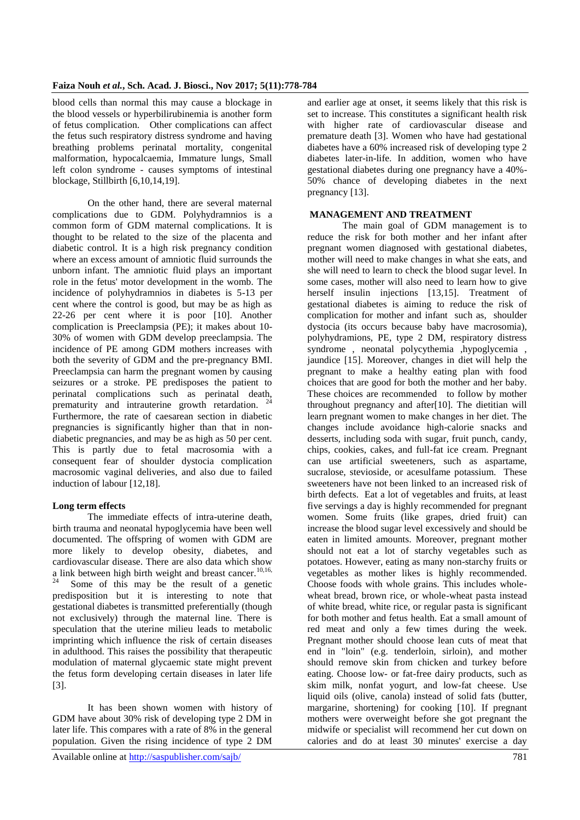blood cells than normal this may cause a blockage in the blood vessels or hyperbilirubinemia is another form of fetus complication. Other complications can affect the fetus such respiratory distress syndrome and having breathing problems perinatal mortality, congenital malformation, hypocalcaemia, Immature lungs, Small left colon syndrome - causes symptoms of intestinal blockage, Stillbirth [6,10,14,19].

On the other hand, there are several maternal complications due to GDM. Polyhydramnios is a common form of GDM maternal complications. It is thought to be related to the size of the placenta and diabetic control. It is a high risk pregnancy condition where an excess amount of amniotic fluid surrounds the unborn infant. The amniotic fluid plays an important role in the fetus' motor development in the womb. The incidence of polyhydramnios in diabetes is 5-13 per cent where the control is good, but may be as high as 22-26 per cent where it is poor [10]. Another complication is Preeclampsia (PE); it makes about 10- 30% of women with GDM develop preeclampsia. The incidence of PE among GDM mothers increases with both the severity of GDM and the pre-pregnancy BMI. Preeclampsia can harm the pregnant women by causing seizures or a stroke. PE predisposes the patient to perinatal complications such as perinatal death, prematurity and intrauterine growth retardation. Furthermore, the rate of caesarean section in diabetic pregnancies is significantly higher than that in nondiabetic pregnancies, and may be as high as 50 per cent. This is partly due to fetal macrosomia with a consequent fear of shoulder dystocia complication macrosomic vaginal deliveries, and also due to failed induction of labour [12,18].

## **Long term effects**

The immediate effects of intra-uterine death, birth trauma and neonatal hypoglycemia have been well documented. The offspring of women with GDM are more likely to develop obesity, diabetes, and cardiovascular disease. There are also data which show a link between high birth weight and breast cancer.<sup>10,16,</sup> Some of this may be the result of a genetic predisposition but it is interesting to note that gestational diabetes is transmitted preferentially (though not exclusively) through the maternal line. There is speculation that the uterine milieu leads to metabolic imprinting which influence the risk of certain diseases in adulthood. This raises the possibility that therapeutic modulation of maternal glycaemic state might prevent the fetus form developing certain diseases in later life [3].

It has been shown women with history of GDM have about 30% risk of developing type 2 DM in later life. This compares with a rate of 8% in the general population. Given the rising incidence of type 2 DM

and earlier age at onset, it seems likely that this risk is set to increase. This constitutes a significant health risk with higher rate of cardiovascular disease and premature death [3]. Women who have had gestational diabetes have a 60% increased risk of developing type 2 diabetes later-in-life. In addition, women who have gestational diabetes during one pregnancy have a 40%- 50% chance of developing diabetes in the next pregnancy [13].

#### **MANAGEMENT AND TREATMENT**

The main goal of GDM management is to reduce the risk for both mother and her infant after pregnant women diagnosed with gestational diabetes, mother will need to make changes in what she eats, and she will need to learn to check the blood sugar level. In some cases, mother will also need to learn how to give herself insulin injections [13,15]. Treatment of gestational diabetes is aiming to reduce the risk of complication for mother and infant such as, shoulder dystocia (its occurs because baby have macrosomia), polyhydramions, PE, type 2 DM, respiratory distress syndrome, neonatal polycythemia ,hypoglycemia. jaundice [15]. Moreover, changes in diet will help the pregnant to make a healthy eating plan with food choices that are good for both the mother and her baby. These choices are recommended to follow by mother throughout pregnancy and after[10]. The dietitian will learn pregnant women to make changes in her diet. The changes include avoidance high-calorie snacks and desserts, including soda with sugar, fruit punch, candy, chips, cookies, cakes, and full-fat ice cream. Pregnant can use artificial sweeteners, such as aspartame, sucralose, stevioside, or acesulfame potassium. These sweeteners have not been linked to an increased risk of birth defects. Eat a lot of vegetables and fruits, at least five servings a day is highly recommended for pregnant women. Some fruits (like grapes, dried fruit) can increase the blood sugar level excessively and should be eaten in limited amounts. Moreover, pregnant mother should not eat a lot of starchy vegetables such as potatoes. However, eating as many non-starchy fruits or vegetables as mother likes is highly recommended. Choose foods with whole grains. This includes wholewheat bread, brown rice, or whole-wheat pasta instead of white bread, white rice, or regular pasta is significant for both mother and fetus health. Eat a small amount of red meat and only a few times during the week. Pregnant mother should choose lean cuts of meat that end in "loin" (e.g. tenderloin, sirloin), and mother should remove skin from chicken and turkey before eating. Choose low- or fat-free dairy products, such as skim milk, nonfat yogurt, and low-fat cheese. Use liquid oils (olive, canola) instead of solid fats (butter, margarine, shortening) for cooking [10]. If pregnant mothers were overweight before she got pregnant the midwife or specialist will recommend her cut down on calories and do at least 30 minutes' exercise a day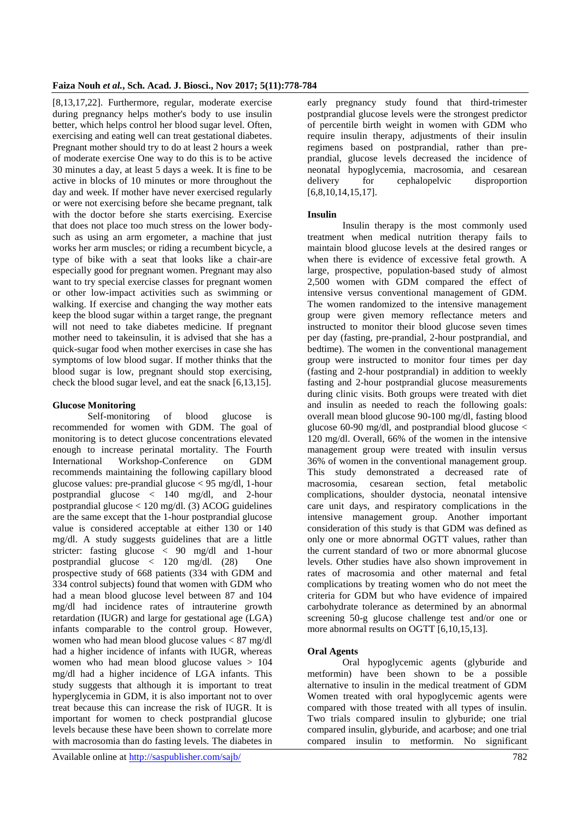[8,13,17,22]. Furthermore, regular, moderate exercise during pregnancy helps mother's body to use insulin better, which helps control her blood sugar level. Often, exercising and eating well can treat gestational diabetes. Pregnant mother should try to do at least 2 hours a week of moderate exercise One way to do this is to be active 30 minutes a day, at least 5 days a week. It is fine to be active in blocks of 10 minutes or more throughout the day and week. If mother have never exercised regularly or were not exercising before she became pregnant, talk with the doctor before she starts exercising. Exercise that does not place too much stress on the lower bodysuch as using an arm ergometer, a machine that just works her arm muscles; or riding a recumbent bicycle, a type of bike with a seat that looks like a chair-are especially good for pregnant women. Pregnant may also want to try special exercise classes for pregnant women or other low-impact activities such as swimming or walking. If exercise and changing the way mother eats keep the blood sugar within a target range, the pregnant will not need to take diabetes medicine. If pregnant mother need to takeinsulin, it is advised that she has a quick-sugar food when mother exercises in case she has symptoms of low blood sugar. If mother thinks that the blood sugar is low, pregnant should stop exercising, check the blood sugar level, and eat the snack [6,13,15].

#### **Glucose Monitoring**

Self-monitoring of blood glucose is recommended for women with GDM. The goal of monitoring is to detect glucose concentrations elevated enough to increase perinatal mortality. The Fourth International Workshop-Conference on GDM recommends maintaining the following capillary blood glucose values: pre-prandial glucose < 95 mg/dl, 1-hour postprandial glucose < 140 mg/dl, and 2-hour postprandial glucose < 120 mg/dl. (3) ACOG guidelines are the same except that the 1-hour postprandial glucose value is considered acceptable at either 130 or 140 mg/dl. A study suggests guidelines that are a little stricter: fasting glucose < 90 mg/dl and 1-hour postprandial glucose  $\langle 120 \text{ mg/dl} \rangle$  (28) One prospective study of 668 patients (334 with GDM and 334 control subjects) found that women with GDM who had a mean blood glucose level between 87 and 104 mg/dl had incidence rates of intrauterine growth retardation (IUGR) and large for gestational age (LGA) infants comparable to the control group. However, women who had mean blood glucose values < 87 mg/dl had a higher incidence of infants with IUGR, whereas women who had mean blood glucose values > 104 mg/dl had a higher incidence of LGA infants. This study suggests that although it is important to treat hyperglycemia in GDM, it is also important not to over treat because this can increase the risk of IUGR. It is important for women to check postprandial glucose levels because these have been shown to correlate more with macrosomia than do fasting levels. The diabetes in

early pregnancy study found that third-trimester postprandial glucose levels were the strongest predictor of percentile birth weight in women with GDM who require insulin therapy, adjustments of their insulin regimens based on postprandial, rather than preprandial, glucose levels decreased the incidence of neonatal hypoglycemia, macrosomia, and cesarean delivery for cephalopelvic disproportion [6,8,10,14,15,17].

## **Insulin**

Insulin therapy is the most commonly used treatment when medical nutrition therapy fails to maintain blood glucose levels at the desired ranges or when there is evidence of excessive fetal growth. A large, prospective, population-based study of almost 2,500 women with GDM compared the effect of intensive versus conventional management of GDM. The women randomized to the intensive management group were given memory reflectance meters and instructed to monitor their blood glucose seven times per day (fasting, pre-prandial, 2-hour postprandial, and bedtime). The women in the conventional management group were instructed to monitor four times per day (fasting and 2-hour postprandial) in addition to weekly fasting and 2-hour postprandial glucose measurements during clinic visits. Both groups were treated with diet and insulin as needed to reach the following goals: overall mean blood glucose 90-100 mg/dl, fasting blood glucose 60-90 mg/dl, and postprandial blood glucose < 120 mg/dl. Overall, 66% of the women in the intensive management group were treated with insulin versus 36% of women in the conventional management group. This study demonstrated a decreased rate of macrosomia, cesarean section, fetal metabolic complications, shoulder dystocia, neonatal intensive care unit days, and respiratory complications in the intensive management group. Another important consideration of this study is that GDM was defined as only one or more abnormal OGTT values, rather than the current standard of two or more abnormal glucose levels. Other studies have also shown improvement in rates of macrosomia and other maternal and fetal complications by treating women who do not meet the criteria for GDM but who have evidence of impaired carbohydrate tolerance as determined by an abnormal screening 50-g glucose challenge test and/or one or more abnormal results on OGTT [6,10,15,13].

## **Oral Agents**

Oral hypoglycemic agents (glyburide and metformin) have been shown to be a possible alternative to insulin in the medical treatment of GDM Women treated with oral hypoglycemic agents were compared with those treated with all types of insulin. Two trials compared insulin to glyburide; one trial compared insulin, glyburide, and acarbose; and one trial compared insulin to metformin. No significant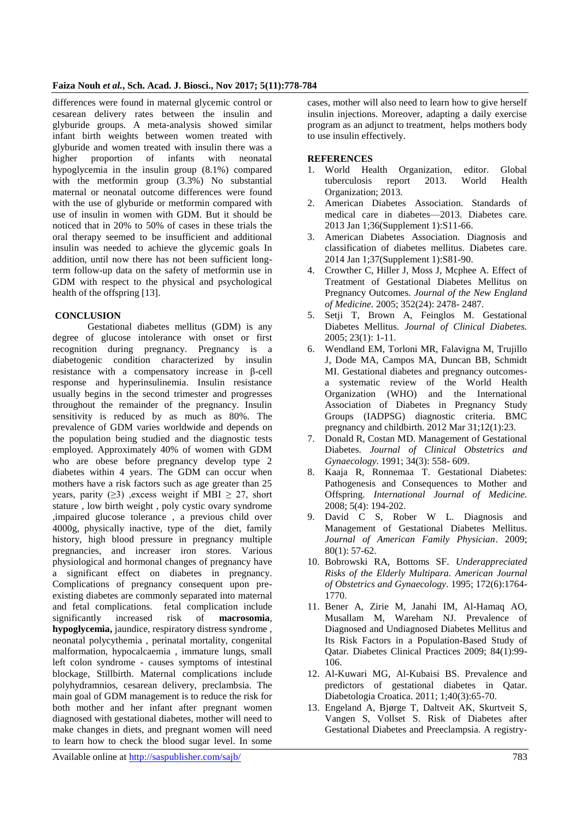#### **Faiza Nouh** *et al.***, Sch. Acad. J. Biosci., Nov 2017; 5(11):778-784**

differences were found in maternal glycemic control or cesarean delivery rates between the insulin and glyburide groups. A meta-analysis showed similar infant birth weights between women treated with glyburide and women treated with insulin there was a higher proportion of infants with neonatal hypoglycemia in the insulin group (8.1%) compared with the metformin group  $(3.3%)$  No substantial maternal or neonatal outcome differences were found with the use of glyburide or metformin compared with use of insulin in women with GDM. But it should be noticed that in 20% to 50% of cases in these trials the oral therapy seemed to be insufficient and additional insulin was needed to achieve the glycemic goals In addition, until now there has not been sufficient longterm follow-up data on the safety of metformin use in GDM with respect to the physical and psychological health of the offspring [13].

#### **CONCLUSION**

Gestational diabetes mellitus (GDM) is any degree of glucose intolerance with onset or first recognition during pregnancy. Pregnancy is a diabetogenic condition characterized by insulin resistance with a compensatory increase in β-cell response and hyperinsulinemia. Insulin resistance usually begins in the second trimester and progresses throughout the remainder of the pregnancy. Insulin sensitivity is reduced by as much as 80%. The prevalence of GDM varies worldwide and depends on the population being studied and the diagnostic tests employed. Approximately 40% of women with GDM who are obese before pregnancy develop type 2 diabetes within 4 years. The GDM can occur when mothers have a risk factors such as age greater than 25 years, parity ( $\geq$ 3) ,excess weight if MBI  $\geq$  27, short stature , low birth weight , poly cystic ovary syndrome ,impaired glucose tolerance , a previous child over 4000g, physically inactive, type of the diet, family history, high blood pressure in pregnancy multiple pregnancies, and increaser iron stores. Various physiological and hormonal changes of pregnancy have a significant effect on diabetes in pregnancy. Complications of pregnancy consequent upon preexisting diabetes are commonly separated into maternal and fetal complications. fetal complication include significantly increased risk of **macrosomia**, **hypoglycemia,** jaundice, respiratory distress syndrome , neonatal polycythemia , perinatal mortality, congenital malformation, hypocalcaemia , immature lungs, small left colon syndrome - causes symptoms of intestinal blockage, Stillbirth. Maternal complications include polyhydramnios, cesarean delivery, preclambsia. The main goal of GDM management is to reduce the risk for both mother and her infant after pregnant women diagnosed with gestational diabetes, mother will need to make changes in diets, and pregnant women will need to learn how to check the blood sugar level. In some

cases, mother will also need to learn how to give herself insulin injections. Moreover, adapting a daily exercise program as an adjunct to treatment, helps mothers body to use insulin effectively.

#### **REFERENCES**

- 1. World Health Organization, editor. Global tuberculosis report 2013. World Health Organization; 2013.
- 2. American Diabetes Association. Standards of medical care in diabetes—2013. Diabetes care. 2013 Jan 1;36(Supplement 1):S11-66.
- 3. American Diabetes Association. Diagnosis and classification of diabetes mellitus. Diabetes care. 2014 Jan 1;37(Supplement 1):S81-90.
- 4. Crowther C, Hiller J, Moss J, Mcphee A. Effect of Treatment of Gestational Diabetes Mellitus on Pregnancy Outcomes. *Journal of the New England of Medicine.* 2005; 352(24): 2478- 2487.
- 5. Setji T, Brown A, Feinglos M. Gestational Diabetes Mellitus. *Journal of Clinical Diabetes.*  2005; 23(1): 1-11.
- 6. Wendland EM, Torloni MR, Falavigna M, Trujillo J, Dode MA, Campos MA, Duncan BB, Schmidt MI. Gestational diabetes and pregnancy outcomesa systematic review of the World Health Organization (WHO) and the International Association of Diabetes in Pregnancy Study Groups (IADPSG) diagnostic criteria. BMC pregnancy and childbirth. 2012 Mar 31;12(1):23.
- 7. Donald R, Costan MD. Management of Gestational Diabetes. *Journal of Clinical Obstetrics and Gynaecology*. 1991; 34(3): 558- 609.
- 8. Kaaja R, Ronnemaa T. Gestational Diabetes: Pathogenesis and Consequences to Mother and Offspring. *International Journal of Medicine.* 2008; 5(4): 194-202.
- 9. David C S, Rober W L. Diagnosis and Management of Gestational Diabetes Mellitus. *Journal of American Family Physician*. 2009; 80(1): 57-62.
- 10. Bobrowski RA, Bottoms SF. *Underappreciated Risks of the Elderly Multipara. American Journal of Obstetrics and Gynaecology*. 1995; 172(6):1764- 1770.
- 11. Bener A, Zirie M, Janahi IM, Al-Hamaq AO, Musallam M, Wareham NJ. Prevalence of Diagnosed and Undiagnosed Diabetes Mellitus and Its Risk Factors in a Population-Based Study of Qatar. Diabetes Clinical Practices 2009; 84(1):99- 106.
- 12. Al-Kuwari MG, Al-Kubaisi BS. Prevalence and predictors of gestational diabetes in Qatar. Diabetologia Croatica. 2011; 1;40(3):65-70.
- 13. Engeland A, Bjørge T, Daltveit AK, Skurtveit S, Vangen S, Vollset S. Risk of Diabetes after Gestational Diabetes and Preeclampsia. A registry-